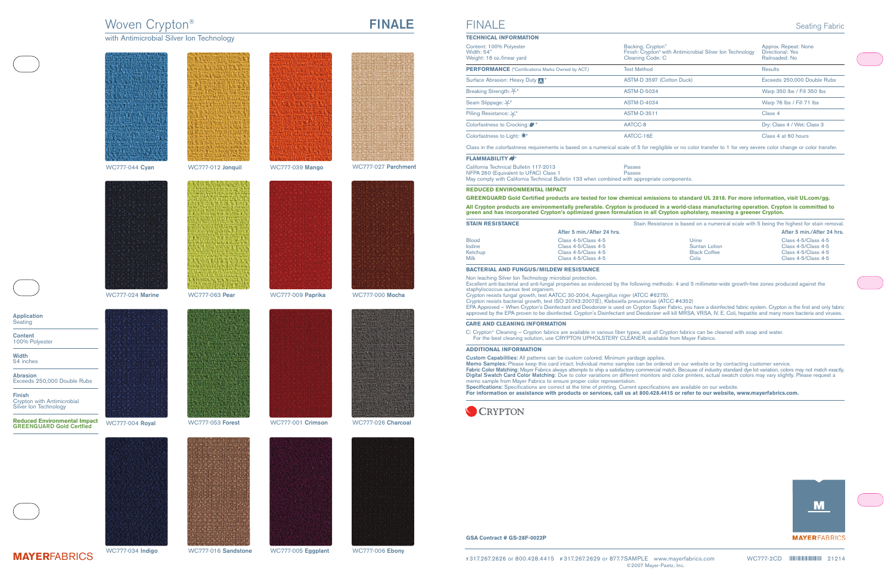# Woven Crypton® **FINALE**

with Antimicrobial Silver Ion Technology





**Application** Seating

**Content** 100% Polyester

**Width** 54 inches

**Abrasion** Exceeds 250,000 Double Rubs

**Finish** Crypton with Antimicrobial Silver Ion Technology

**Reduced Environmental Impact GREENGUARD Gold Certfied**